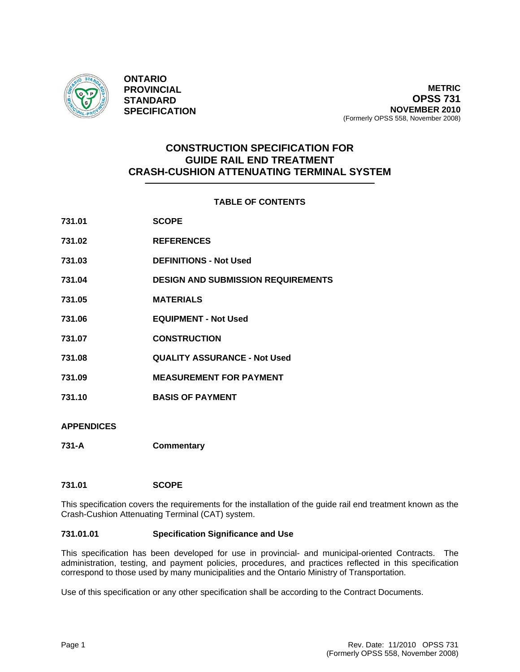

**ONTARIO PROVINCIAL STANDARD SPECIFICATION**

# **CONSTRUCTION SPECIFICATION FOR GUIDE RAIL END TREATMENT CRASH-CUSHION ATTENUATING TERMINAL SYSTEM**

# **TABLE OF CONTENTS**

| 731.01            | <b>SCOPE</b>                              |
|-------------------|-------------------------------------------|
| 731.02            | <b>REFERENCES</b>                         |
| 731.03            | <b>DEFINITIONS - Not Used</b>             |
| 731.04            | <b>DESIGN AND SUBMISSION REQUIREMENTS</b> |
| 731.05            | <b>MATERIALS</b>                          |
| 731.06            | <b>EQUIPMENT - Not Used</b>               |
| 731.07            | <b>CONSTRUCTION</b>                       |
| 731.08            | <b>QUALITY ASSURANCE - Not Used</b>       |
| 731.09            | <b>MEASUREMENT FOR PAYMENT</b>            |
| 731.10            | <b>BASIS OF PAYMENT</b>                   |
| <b>APPENDICES</b> |                                           |

**731-A Commentary** 

# **731.01 SCOPE**

This specification covers the requirements for the installation of the guide rail end treatment known as the Crash-Cushion Attenuating Terminal (CAT) system.

## **731.01.01 Specification Significance and Use**

This specification has been developed for use in provincial- and municipal-oriented Contracts. The administration, testing, and payment policies, procedures, and practices reflected in this specification correspond to those used by many municipalities and the Ontario Ministry of Transportation.

Use of this specification or any other specification shall be according to the Contract Documents.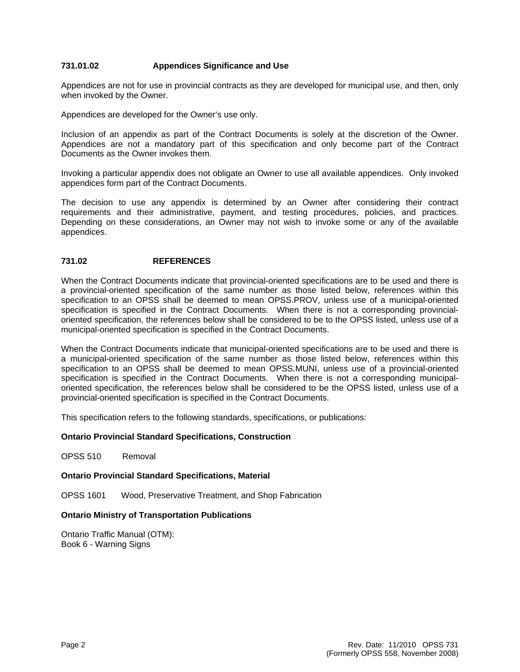## **731.01.02 Appendices Significance and Use**

Appendices are not for use in provincial contracts as they are developed for municipal use, and then, only when invoked by the Owner.

Appendices are developed for the Owner's use only.

Inclusion of an appendix as part of the Contract Documents is solely at the discretion of the Owner. Appendices are not a mandatory part of this specification and only become part of the Contract Documents as the Owner invokes them.

Invoking a particular appendix does not obligate an Owner to use all available appendices. Only invoked appendices form part of the Contract Documents.

The decision to use any appendix is determined by an Owner after considering their contract requirements and their administrative, payment, and testing procedures, policies, and practices. Depending on these considerations, an Owner may not wish to invoke some or any of the available appendices.

## **731.02 REFERENCES**

When the Contract Documents indicate that provincial-oriented specifications are to be used and there is a provincial-oriented specification of the same number as those listed below, references within this specification to an OPSS shall be deemed to mean OPSS.PROV, unless use of a municipal-oriented specification is specified in the Contract Documents. When there is not a corresponding provincialoriented specification, the references below shall be considered to be to the OPSS listed, unless use of a municipal-oriented specification is specified in the Contract Documents.

When the Contract Documents indicate that municipal-oriented specifications are to be used and there is a municipal-oriented specification of the same number as those listed below, references within this specification to an OPSS shall be deemed to mean OPSS.MUNI, unless use of a provincial-oriented specification is specified in the Contract Documents. When there is not a corresponding municipaloriented specification, the references below shall be considered to be the OPSS listed, unless use of a provincial-oriented specification is specified in the Contract Documents.

This specification refers to the following standards, specifications, or publications:

## **Ontario Provincial Standard Specifications, Construction**

OPSS 510 Removal

## **Ontario Provincial Standard Specifications, Material**

OPSS 1601 Wood, Preservative Treatment, and Shop Fabrication

## **Ontario Ministry of Transportation Publications**

Ontario Traffic Manual (OTM): Book 6 - Warning Signs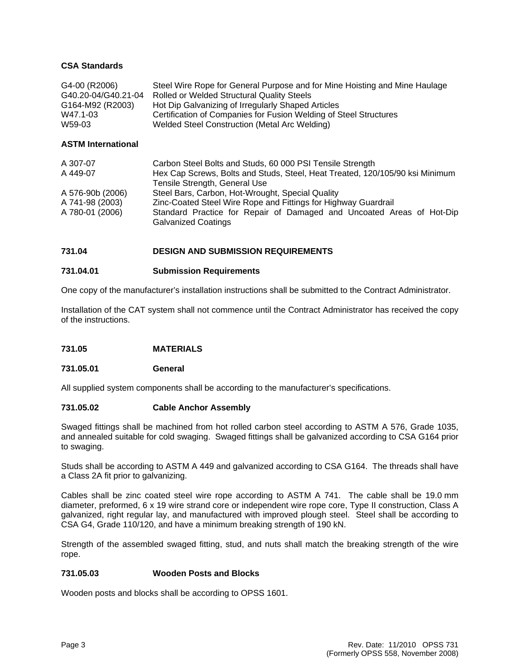## **CSA Standards**

| G4-00 (R2006)       | Steel Wire Rope for General Purpose and for Mine Hoisting and Mine Haulage |
|---------------------|----------------------------------------------------------------------------|
| G40.20-04/G40.21-04 | <b>Rolled or Welded Structural Quality Steels</b>                          |
| G164-M92 (R2003)    | Hot Dip Galvanizing of Irregularly Shaped Articles                         |
| W47.1-03            | Certification of Companies for Fusion Welding of Steel Structures          |
| W59-03              | Welded Steel Construction (Metal Arc Welding)                              |
|                     |                                                                            |

## **ASTM International**

| A 307-07         | Carbon Steel Bolts and Studs, 60 000 PSI Tensile Strength                                           |
|------------------|-----------------------------------------------------------------------------------------------------|
| A 449-07         | Hex Cap Screws, Bolts and Studs, Steel, Heat Treated, 120/105/90 ksi Minimum                        |
|                  | Tensile Strength, General Use                                                                       |
| A 576-90b (2006) | Steel Bars, Carbon, Hot-Wrought, Special Quality                                                    |
| A 741-98 (2003)  | Zinc-Coated Steel Wire Rope and Fittings for Highway Guardrail                                      |
| A 780-01 (2006)  | Standard Practice for Repair of Damaged and Uncoated Areas of Hot-Dip<br><b>Galvanized Coatings</b> |

## **731.04 DESIGN AND SUBMISSION REQUIREMENTS**

## **731.04.01 Submission Requirements**

One copy of the manufacturer's installation instructions shall be submitted to the Contract Administrator.

Installation of the CAT system shall not commence until the Contract Administrator has received the copy of the instructions.

## **731.05 MATERIALS**

## **731.05.01 General**

All supplied system components shall be according to the manufacturer's specifications.

## **731.05.02 Cable Anchor Assembly**

Swaged fittings shall be machined from hot rolled carbon steel according to ASTM A 576, Grade 1035, and annealed suitable for cold swaging. Swaged fittings shall be galvanized according to CSA G164 prior to swaging.

Studs shall be according to ASTM A 449 and galvanized according to CSA G164. The threads shall have a Class 2A fit prior to galvanizing.

Cables shall be zinc coated steel wire rope according to ASTM A 741. The cable shall be 19.0 mm diameter, preformed, 6 x 19 wire strand core or independent wire rope core, Type II construction, Class A galvanized, right regular lay, and manufactured with improved plough steel. Steel shall be according to CSA G4, Grade 110/120, and have a minimum breaking strength of 190 kN.

Strength of the assembled swaged fitting, stud, and nuts shall match the breaking strength of the wire rope.

## **731.05.03 Wooden Posts and Blocks**

Wooden posts and blocks shall be according to OPSS 1601.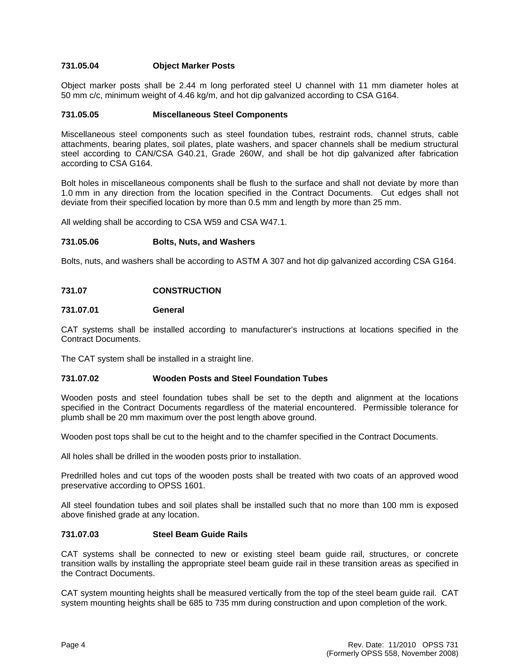## **731.05.04 Object Marker Posts**

Object marker posts shall be 2.44 m long perforated steel U channel with 11 mm diameter holes at 50 mm c/c, minimum weight of 4.46 kg/m, and hot dip galvanized according to CSA G164.

## **731.05.05 Miscellaneous Steel Components**

Miscellaneous steel components such as steel foundation tubes, restraint rods, channel struts, cable attachments, bearing plates, soil plates, plate washers, and spacer channels shall be medium structural steel according to CAN/CSA G40.21, Grade 260W, and shall be hot dip galvanized after fabrication according to CSA G164.

Bolt holes in miscellaneous components shall be flush to the surface and shall not deviate by more than 1.0 mm in any direction from the location specified in the Contract Documents. Cut edges shall not deviate from their specified location by more than 0.5 mm and length by more than 25 mm.

All welding shall be according to CSA W59 and CSA W47.1.

#### **731.05.06 Bolts, Nuts, and Washers**

Bolts, nuts, and washers shall be according to ASTM A 307 and hot dip galvanized according CSA G164.

## **731.07 CONSTRUCTION**

#### **731.07.01 General**

CAT systems shall be installed according to manufacturer's instructions at locations specified in the Contract Documents.

The CAT system shall be installed in a straight line.

## **731.07.02 Wooden Posts and Steel Foundation Tubes**

Wooden posts and steel foundation tubes shall be set to the depth and alignment at the locations specified in the Contract Documents regardless of the material encountered. Permissible tolerance for plumb shall be 20 mm maximum over the post length above ground.

Wooden post tops shall be cut to the height and to the chamfer specified in the Contract Documents.

All holes shall be drilled in the wooden posts prior to installation.

Predrilled holes and cut tops of the wooden posts shall be treated with two coats of an approved wood preservative according to OPSS 1601.

All steel foundation tubes and soil plates shall be installed such that no more than 100 mm is exposed above finished grade at any location.

## **731.07.03 Steel Beam Guide Rails**

CAT systems shall be connected to new or existing steel beam guide rail, structures, or concrete transition walls by installing the appropriate steel beam guide rail in these transition areas as specified in the Contract Documents.

CAT system mounting heights shall be measured vertically from the top of the steel beam guide rail. CAT system mounting heights shall be 685 to 735 mm during construction and upon completion of the work.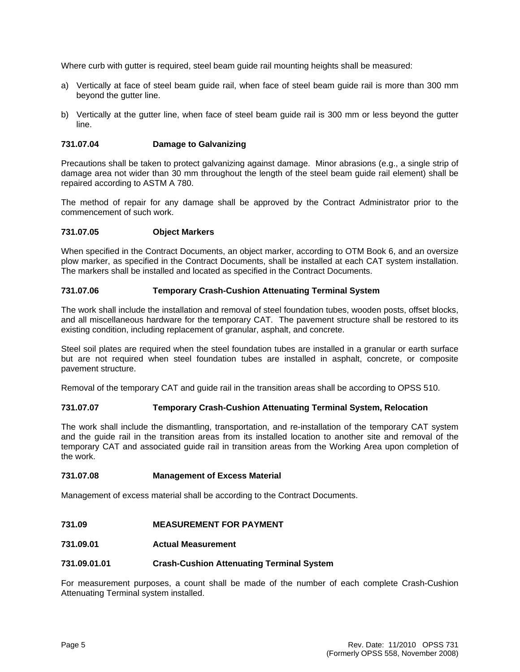Where curb with gutter is required, steel beam guide rail mounting heights shall be measured:

- a) Vertically at face of steel beam guide rail, when face of steel beam guide rail is more than 300 mm beyond the gutter line.
- b) Vertically at the gutter line, when face of steel beam guide rail is 300 mm or less beyond the gutter line.

## **731.07.04 Damage to Galvanizing**

Precautions shall be taken to protect galvanizing against damage. Minor abrasions (e.g., a single strip of damage area not wider than 30 mm throughout the length of the steel beam guide rail element) shall be repaired according to ASTM A 780.

The method of repair for any damage shall be approved by the Contract Administrator prior to the commencement of such work.

## **731.07.05 Object Markers**

When specified in the Contract Documents, an object marker, according to OTM Book 6, and an oversize plow marker, as specified in the Contract Documents, shall be installed at each CAT system installation. The markers shall be installed and located as specified in the Contract Documents.

## **731.07.06 Temporary Crash-Cushion Attenuating Terminal System**

The work shall include the installation and removal of steel foundation tubes, wooden posts, offset blocks, and all miscellaneous hardware for the temporary CAT. The pavement structure shall be restored to its existing condition, including replacement of granular, asphalt, and concrete.

Steel soil plates are required when the steel foundation tubes are installed in a granular or earth surface but are not required when steel foundation tubes are installed in asphalt, concrete, or composite pavement structure.

Removal of the temporary CAT and guide rail in the transition areas shall be according to OPSS 510.

## **731.07.07 Temporary Crash-Cushion Attenuating Terminal System, Relocation**

The work shall include the dismantling, transportation, and re-installation of the temporary CAT system and the guide rail in the transition areas from its installed location to another site and removal of the temporary CAT and associated guide rail in transition areas from the Working Area upon completion of the work.

## **731.07.08 Management of Excess Material**

Management of excess material shall be according to the Contract Documents.

## **731.09 MEASUREMENT FOR PAYMENT**

## **731.09.01 Actual Measurement**

## **731.09.01.01 Crash-Cushion Attenuating Terminal System**

For measurement purposes, a count shall be made of the number of each complete Crash-Cushion Attenuating Terminal system installed.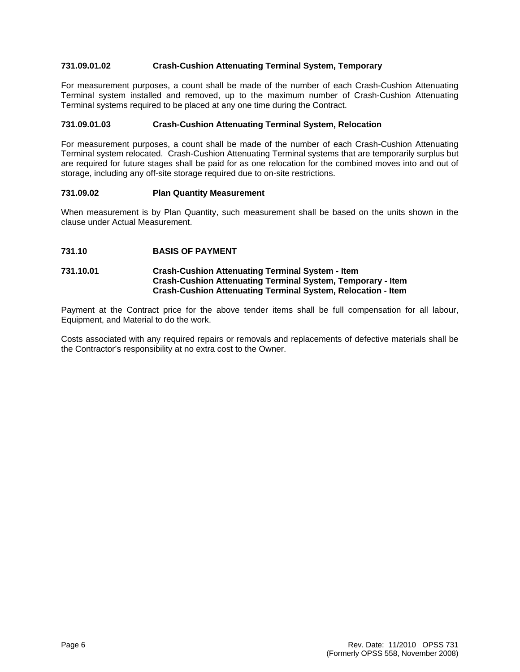## **731.09.01.02 Crash-Cushion Attenuating Terminal System, Temporary**

For measurement purposes, a count shall be made of the number of each Crash-Cushion Attenuating Terminal system installed and removed, up to the maximum number of Crash-Cushion Attenuating Terminal systems required to be placed at any one time during the Contract.

## **731.09.01.03 Crash-Cushion Attenuating Terminal System, Relocation**

For measurement purposes, a count shall be made of the number of each Crash-Cushion Attenuating Terminal system relocated. Crash-Cushion Attenuating Terminal systems that are temporarily surplus but are required for future stages shall be paid for as one relocation for the combined moves into and out of storage, including any off-site storage required due to on-site restrictions.

#### **731.09.02 Plan Quantity Measurement**

When measurement is by Plan Quantity, such measurement shall be based on the units shown in the clause under Actual Measurement.

**731.10 BASIS OF PAYMENT** 

#### **731.10.01 Crash-Cushion Attenuating Terminal System - Item Crash-Cushion Attenuating Terminal System, Temporary - Item Crash-Cushion Attenuating Terminal System, Relocation - Item**

Payment at the Contract price for the above tender items shall be full compensation for all labour, Equipment, and Material to do the work.

Costs associated with any required repairs or removals and replacements of defective materials shall be the Contractor's responsibility at no extra cost to the Owner.